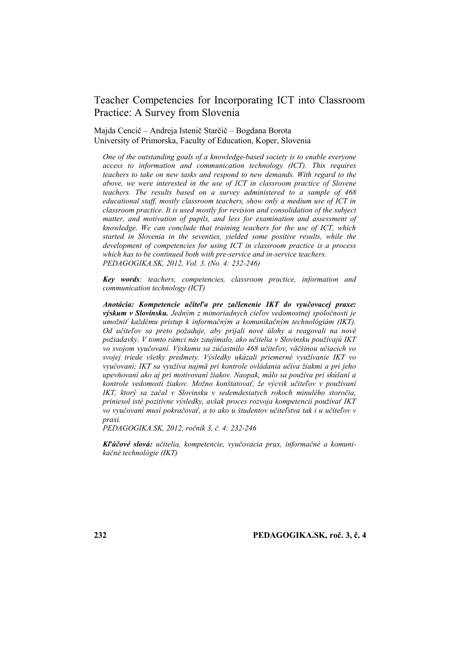# Teacher Competencies for Incorporating ICT into Classroom Practice: A Survey from Slovenia

Majda Cencič – Andreja Istenič Starčič – Bogdana Borota University of Primorska, Faculty of Education, Koper, Slovenia

*One of the outstanding goals of a knowledge-based society is to enable everyone access to information and communication technology (ICT). This requires teachers to take on new tasks and respond to new demands. With regard to the above, we were interested in the use of ICT in classroom practice of Slovene teachers. The results based on a survey administered to a sample of 468 educational staff, mostly classroom teachers, show only a medium use of ICT in classroom practice. It is used mostly for revision and consolidation of the subject matter, and motivation of pupils, and less for examination and assessment of knowledge. We can conclude that training teachers for the use of ICT, which started in Slovenia in the seventies, yielded some positive results, while the development of competencies for using ICT in classroom practice is a process which has to be continued both with pre-service and in-service teachers. PEDAGOGIKA.SK, 2012, Vol. 3. (No. 4: 232-246)*

*Key words: teachers, competencies, classroom practice, information and communication technology (ICT)*

*Anotácia: Kompetencie učiteľa pre začlenenie IKT do vyučovacej praxe: výskum v Slovinsku. Jedným z mimoriadnych cieľov vedomostnej spoločnosti je umožniť každému prístup k informačným a komunikačným technológiám (IKT). Od učiteľov sa preto požaduje, aby prijali nové úlohy a reagovali na nové požiadavky. V tomto rámci nás zaujímalo, ako učitelia v Slovinsku používajú IKT vo svojom vyučovaní. Výskumu sa zúčastnilo 468 učiteľov, väčšinou učiacich vo svojej triede všetky predmety. Výsledky ukázali priemerné využívanie IKT vo vyučovaní; IKT sa využíva najmä pri kontrole ovládania učiva žiakmi a pri jeho upevňovaní ako aj pri motivovaní žiakov. Naopak, málo sa používa pri skúšaní a kontrole vedomostí žiakov. Možno konštatovať, že výcvik učiteľov v používaní IKT, ktorý sa začal v Slovinsku v sedemdesiatych rokoch minulého storočia, priniesol isté pozitívne výsledky, avšak proces rozvoja kompetencií používať IKT vo vyučovaní musí pokračovať, a to ako u študentov učiteľstva tak i u učiteľov v praxi.* 

*PEDAGOGIKA.SK, 2012, ročník 3, č. 4: 232-246*

*Kľúčové slová: učitelia, kompetencie, vyučovacia prax, informačné a komunikačné technológie (IKT)*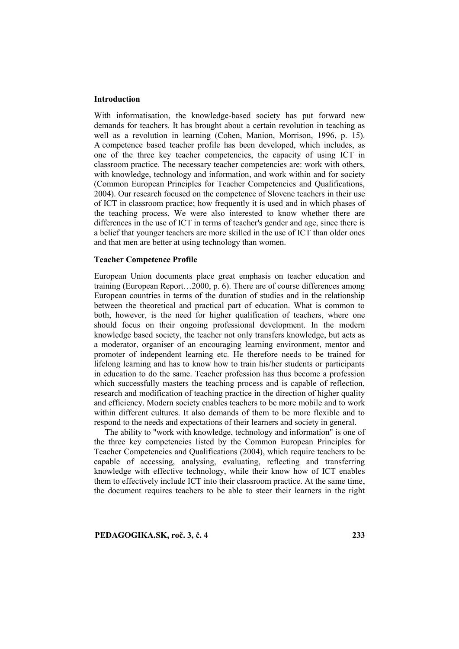#### **Introduction**

With informatisation, the knowledge-based society has put forward new demands for teachers. It has brought about a certain revolution in teaching as well as a revolution in learning (Cohen, Manion, Morrison, 1996, p. 15). A competence based teacher profile has been developed, which includes, as one of the three key teacher competencies, the capacity of using ICT in classroom practice. The necessary teacher competencies are: work with others, with knowledge, technology and information, and work within and for society (Common European Principles for Teacher Competencies and Qualifications, 2004). Our research focused on the competence of Slovene teachers in their use of ICT in classroom practice; how frequently it is used and in which phases of the teaching process. We were also interested to know whether there are differences in the use of ICT in terms of teacher's gender and age, since there is a belief that younger teachers are more skilled in the use of ICT than older ones and that men are better at using technology than women.

#### **Teacher Competence Profile**

European Union documents place great emphasis on teacher education and training (European Report…2000, p. 6). There are of course differences among European countries in terms of the duration of studies and in the relationship between the theoretical and practical part of education. What is common to both, however, is the need for higher qualification of teachers, where one should focus on their ongoing professional development. In the modern knowledge based society, the teacher not only transfers knowledge, but acts as a moderator, organiser of an encouraging learning environment, mentor and promoter of independent learning etc. He therefore needs to be trained for lifelong learning and has to know how to train his/her students or participants in education to do the same. Teacher profession has thus become a profession which successfully masters the teaching process and is capable of reflection, research and modification of teaching practice in the direction of higher quality and efficiency. Modern society enables teachers to be more mobile and to work within different cultures. It also demands of them to be more flexible and to respond to the needs and expectations of their learners and society in general.

The ability to "work with knowledge, technology and information" is one of the three key competencies listed by the Common European Principles for Teacher Competencies and Qualifications (2004), which require teachers to be capable of accessing, analysing, evaluating, reflecting and transferring knowledge with effective technology, while their know how of ICT enables them to effectively include ICT into their classroom practice. At the same time, the document requires teachers to be able to steer their learners in the right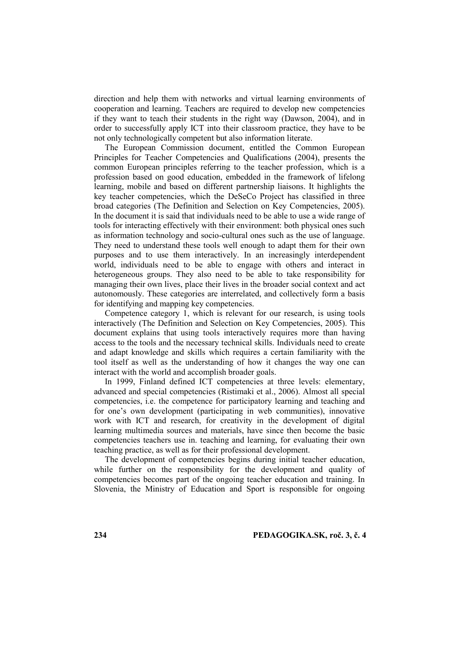direction and help them with networks and virtual learning environments of cooperation and learning. Teachers are required to develop new competencies if they want to teach their students in the right way (Dawson, 2004), and in order to successfully apply ICT into their classroom practice, they have to be not only technologically competent but also information literate.

The European Commission document, entitled the Common European Principles for Teacher Competencies and Qualifications (2004), presents the common European principles referring to the teacher profession, which is a profession based on good education, embedded in the framework of lifelong learning, mobile and based on different partnership liaisons. It highlights the key teacher competencies, which the DeSeCo Project has classified in three broad categories (The Definition and Selection on Key Competencies, 2005). In the document it is said that individuals need to be able to use a wide range of tools for interacting effectively with their environment: both physical ones such as information technology and socio-cultural ones such as the use of language. They need to understand these tools well enough to adapt them for their own purposes and to use them interactively. In an increasingly interdependent world, individuals need to be able to engage with others and interact in heterogeneous groups. They also need to be able to take responsibility for managing their own lives, place their lives in the broader social context and act autonomously. These categories are interrelated, and collectively form a basis for identifying and mapping key competencies.

Competence category 1, which is relevant for our research, is using tools interactively (The Definition and Selection on Key Competencies, 2005). This document explains that using tools interactively requires more than having access to the tools and the necessary technical skills. Individuals need to create and adapt knowledge and skills which requires a certain familiarity with the tool itself as well as the understanding of how it changes the way one can interact with the world and accomplish broader goals.

In 1999, Finland defined ICT competencies at three levels: elementary, advanced and special competencies (Ristimaki et al., 2006). Almost all special competencies, i.e. the competence for participatory learning and teaching and for one's own development (participating in web communities), innovative work with ICT and research, for creativity in the development of digital learning multimedia sources and materials, have since then become the basic competencies teachers use in. teaching and learning, for evaluating their own teaching practice, as well as for their professional development.

The development of competencies begins during initial teacher education, while further on the responsibility for the development and quality of competencies becomes part of the ongoing teacher education and training. In Slovenia, the Ministry of Education and Sport is responsible for ongoing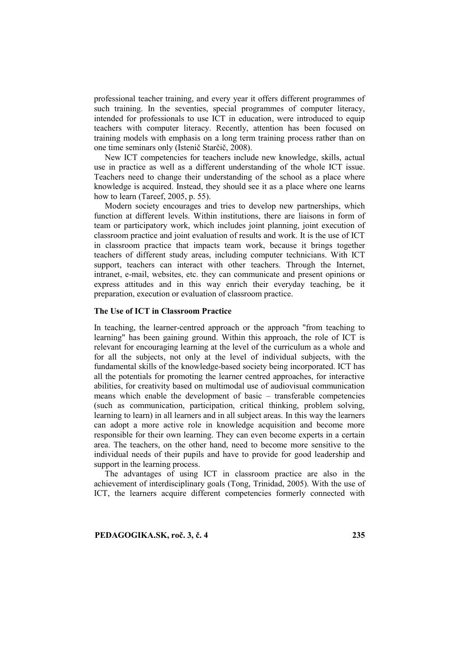professional teacher training, and every year it offers different programmes of such training. In the seventies, special programmes of computer literacy, intended for professionals to use ICT in education, were introduced to equip teachers with computer literacy. Recently, attention has been focused on training models with emphasis on a long term training process rather than on one time seminars only (Istenič Starčič, 2008).

New ICT competencies for teachers include new knowledge, skills, actual use in practice as well as a different understanding of the whole ICT issue. Teachers need to change their understanding of the school as a place where knowledge is acquired. Instead, they should see it as a place where one learns how to learn (Tareef, 2005, p. 55).

Modern society encourages and tries to develop new partnerships, which function at different levels. Within institutions, there are liaisons in form of team or participatory work, which includes joint planning, joint execution of classroom practice and joint evaluation of results and work. It is the use of ICT in classroom practice that impacts team work, because it brings together teachers of different study areas, including computer technicians. With ICT support, teachers can interact with other teachers. Through the Internet, intranet, e-mail, websites, etc. they can communicate and present opinions or express attitudes and in this way enrich their everyday teaching, be it preparation, execution or evaluation of classroom practice.

#### **The Use of ICT in Classroom Practice**

In teaching, the learner-centred approach or the approach "from teaching to learning" has been gaining ground. Within this approach, the role of ICT is relevant for encouraging learning at the level of the curriculum as a whole and for all the subjects, not only at the level of individual subjects, with the fundamental skills of the knowledge-based society being incorporated. ICT has all the potentials for promoting the learner centred approaches, for interactive abilities, for creativity based on multimodal use of audiovisual communication means which enable the development of basic – transferable competencies (such as communication, participation, critical thinking, problem solving, learning to learn) in all learners and in all subject areas. In this way the learners can adopt a more active role in knowledge acquisition and become more responsible for their own learning. They can even become experts in a certain area. The teachers, on the other hand, need to become more sensitive to the individual needs of their pupils and have to provide for good leadership and support in the learning process.

The advantages of using ICT in classroom practice are also in the achievement of interdisciplinary goals (Tong, Trinidad, 2005). With the use of ICT, the learners acquire different competencies formerly connected with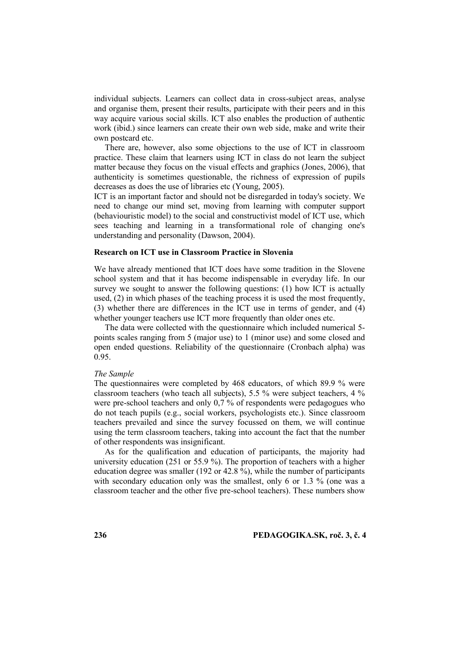individual subjects. Learners can collect data in cross-subject areas, analyse and organise them, present their results, participate with their peers and in this way acquire various social skills. ICT also enables the production of authentic work (ibid.) since learners can create their own web side, make and write their own postcard etc.

There are, however, also some objections to the use of ICT in classroom practice. These claim that learners using ICT in class do not learn the subject matter because they focus on the visual effects and graphics (Jones, 2006), that authenticity is sometimes questionable, the richness of expression of pupils decreases as does the use of libraries etc (Young, 2005).

ICT is an important factor and should not be disregarded in today's society. We need to change our mind set, moving from learning with computer support (behaviouristic model) to the social and constructivist model of ICT use, which sees teaching and learning in a transformational role of changing one's understanding and personality (Dawson, 2004).

#### **Research on ICT use in Classroom Practice in Slovenia**

We have already mentioned that ICT does have some tradition in the Slovene school system and that it has become indispensable in everyday life. In our survey we sought to answer the following questions: (1) how ICT is actually used, (2) in which phases of the teaching process it is used the most frequently, (3) whether there are differences in the ICT use in terms of gender, and (4) whether younger teachers use ICT more frequently than older ones etc.

The data were collected with the questionnaire which included numerical 5 points scales ranging from 5 (major use) to 1 (minor use) and some closed and open ended questions. Reliability of the questionnaire (Cronbach alpha) was 0.95.

#### *The Sample*

The questionnaires were completed by 468 educators, of which 89.9 % were classroom teachers (who teach all subjects), 5.5 % were subject teachers, 4 % were pre-school teachers and only 0,7 % of respondents were pedagogues who do not teach pupils (e.g., social workers, psychologists etc.). Since classroom teachers prevailed and since the survey focussed on them, we will continue using the term classroom teachers, taking into account the fact that the number of other respondents was insignificant.

As for the qualification and education of participants, the majority had university education (251 or 55.9 %). The proportion of teachers with a higher education degree was smaller (192 or 42.8 %), while the number of participants with secondary education only was the smallest, only 6 or 1.3 % (one was a classroom teacher and the other five pre-school teachers). These numbers show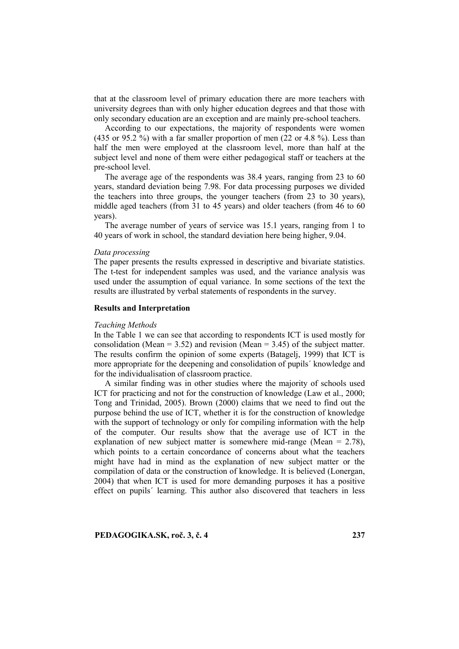that at the classroom level of primary education there are more teachers with university degrees than with only higher education degrees and that those with only secondary education are an exception and are mainly pre-school teachers.

According to our expectations, the majority of respondents were women (435 or 95.2 %) with a far smaller proportion of men (22 or 4.8 %). Less than half the men were employed at the classroom level, more than half at the subject level and none of them were either pedagogical staff or teachers at the pre-school level.

The average age of the respondents was 38.4 years, ranging from 23 to 60 years, standard deviation being 7.98. For data processing purposes we divided the teachers into three groups, the younger teachers (from 23 to 30 years), middle aged teachers (from 31 to 45 years) and older teachers (from 46 to 60 years).

The average number of years of service was 15.1 years, ranging from 1 to 40 years of work in school, the standard deviation here being higher, 9.04.

#### *Data processing*

The paper presents the results expressed in descriptive and bivariate statistics. The t-test for independent samples was used, and the variance analysis was used under the assumption of equal variance. In some sections of the text the results are illustrated by verbal statements of respondents in the survey.

#### **Results and Interpretation**

#### *Teaching Methods*

In the Table 1 we can see that according to respondents ICT is used mostly for consolidation (Mean =  $3.52$ ) and revision (Mean =  $3.45$ ) of the subject matter. The results confirm the opinion of some experts (Batagelj, 1999) that ICT is more appropriate for the deepening and consolidation of pupils´ knowledge and for the individualisation of classroom practice.

A similar finding was in other studies where the majority of schools used ICT for practicing and not for the construction of knowledge (Law et al., 2000; Tong and Trinidad, 2005). Brown (2000) claims that we need to find out the purpose behind the use of ICT, whether it is for the construction of knowledge with the support of technology or only for compiling information with the help of the computer. Our results show that the average use of ICT in the explanation of new subject matter is somewhere mid-range (Mean = 2.78), which points to a certain concordance of concerns about what the teachers might have had in mind as the explanation of new subject matter or the compilation of data or the construction of knowledge. It is believed (Lonergan, 2004) that when ICT is used for more demanding purposes it has a positive effect on pupils´ learning. This author also discovered that teachers in less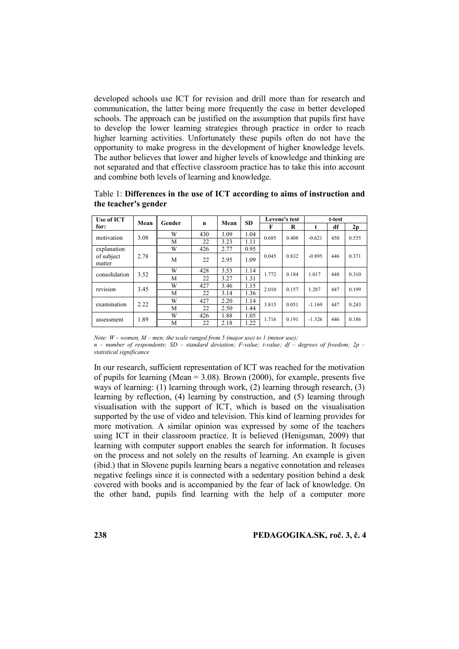developed schools use ICT for revision and drill more than for research and communication, the latter being more frequently the case in better developed schools. The approach can be justified on the assumption that pupils first have to develop the lower learning strategies through practice in order to reach higher learning activities. Unfortunately these pupils often do not have the opportunity to make progress in the development of higher knowledge levels. The author believes that lower and higher levels of knowledge and thinking are not separated and that effective classroom practice has to take this into account and combine both levels of learning and knowledge.

| Use of ICT<br>for:                  | Mean | Gender | $\mathbf n$ | Mean | <b>SD</b> | Levene's test |       | t-test   |     |       |
|-------------------------------------|------|--------|-------------|------|-----------|---------------|-------|----------|-----|-------|
|                                     |      |        |             |      |           | F             | R     |          | df  | 2p    |
| motivation                          | 3.08 | W      | 430         | 3.09 | 1.04      | 0.685         | 0.408 | $-0.621$ | 450 | 0.535 |
|                                     |      | М      | 22          | 3.23 | 1.11      |               |       |          |     |       |
| explanation<br>of subject<br>matter | 2.78 | W      | 426         | 2.77 | 0.95      | 0.045         | 0.832 | $-0.895$ | 446 | 0.371 |
|                                     |      | M      | 22          | 2.95 | 1.09      |               |       |          |     |       |
| consolidation                       | 3.52 | W      | 428         | 3.53 | 1.14      | 1.772         | 0.184 | 1.017    | 448 | 0.310 |
|                                     |      | М      | 22          | 3.27 | 1.31      |               |       |          |     |       |
| revision                            | 3.45 | W      | 427         | 3.46 | 1.15      | 2.010         | 0.157 | 1.287    | 447 | 0.199 |
|                                     |      | М      | 22          | 3.14 | 1.36      |               |       |          |     |       |
| examination                         | 2.22 | W      | 427         | 2.20 | 1.14      | 3.815         | 0.051 | $-1.169$ | 447 | 0.243 |
|                                     |      | М      | 22          | 2.50 | 1.44      |               |       |          |     |       |
| assessment                          | 1.89 | W      | 426         | 1.88 | 1.05      | 1.716         | 0.191 | $-1.326$ | 446 | 0.186 |
|                                     |      | М      | 22          | 2.18 | 1.22      |               |       |          |     |       |

Table 1: **Differences in the use of ICT according to aims of instruction and the teacher's gender**

*Note: W – women, M – men; the scale ranged from 5 (major use) to 1 (minor use);*

*n – number of respondents; SD – standard deviation; F-value; t-value; df – degrees of freedom; 2p – statistical significance*

In our research, sufficient representation of ICT was reached for the motivation of pupils for learning (Mean  $= 3.08$ ). Brown (2000), for example, presents five ways of learning: (1) learning through work, (2) learning through research, (3) learning by reflection, (4) learning by construction, and (5) learning through visualisation with the support of ICT, which is based on the visualisation supported by the use of video and television. This kind of learning provides for more motivation. A similar opinion was expressed by some of the teachers using ICT in their classroom practice. It is believed (Henigsman, 2009) that learning with computer support enables the search for information. It focuses on the process and not solely on the results of learning. An example is given (ibid.) that in Slovene pupils learning bears a negative connotation and releases negative feelings since it is connected with a sedentary position behind a desk covered with books and is accompanied by the fear of lack of knowledge. On the other hand, pupils find learning with the help of a computer more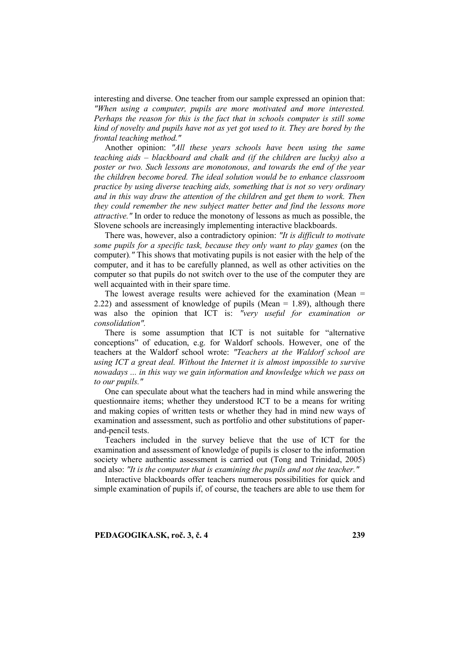interesting and diverse. One teacher from our sample expressed an opinion that: *"When using a computer, pupils are more motivated and more interested. Perhaps the reason for this is the fact that in schools computer is still some kind of novelty and pupils have not as yet got used to it. They are bored by the frontal teaching method."* 

Another opinion: *"All these years schools have been using the same teaching aids – blackboard and chalk and (if the children are lucky) also a poster or two. Such lessons are monotonous, and towards the end of the year the children become bored. The ideal solution would be to enhance classroom practice by using diverse teaching aids, something that is not so very ordinary and in this way draw the attention of the children and get them to work. Then they could remember the new subject matter better and find the lessons more attractive."* In order to reduce the monotony of lessons as much as possible, the Slovene schools are increasingly implementing interactive blackboards.

There was, however, also a contradictory opinion: *"It is difficult to motivate some pupils for a specific task, because they only want to play games* (on the computer)*."* This shows that motivating pupils is not easier with the help of the computer, and it has to be carefully planned, as well as other activities on the computer so that pupils do not switch over to the use of the computer they are well acquainted with in their spare time.

The lowest average results were achieved for the examination (Mean  $=$ 2.22) and assessment of knowledge of pupils (Mean  $= 1.89$ ), although there was also the opinion that ICT is: *"very useful for examination or consolidation".*

There is some assumption that ICT is not suitable for "alternative conceptions" of education, e.g. for Waldorf schools. However, one of the teachers at the Waldorf school wrote: *"Teachers at the Waldorf school are using ICT a great deal. Without the Internet it is almost impossible to survive nowadays ... in this way we gain information and knowledge which we pass on to our pupils."*

One can speculate about what the teachers had in mind while answering the questionnaire items; whether they understood ICT to be a means for writing and making copies of written tests or whether they had in mind new ways of examination and assessment, such as portfolio and other substitutions of paperand-pencil tests.

Teachers included in the survey believe that the use of ICT for the examination and assessment of knowledge of pupils is closer to the information society where authentic assessment is carried out (Tong and Trinidad, 2005) and also: *"It is the computer that is examining the pupils and not the teacher."*

Interactive blackboards offer teachers numerous possibilities for quick and simple examination of pupils if, of course, the teachers are able to use them for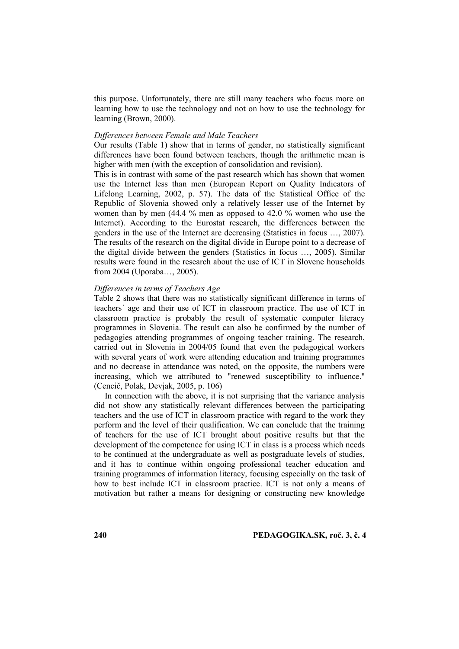this purpose. Unfortunately, there are still many teachers who focus more on learning how to use the technology and not on how to use the technology for learning (Brown, 2000).

## *Differences between Female and Male Teachers*

Our results (Table 1) show that in terms of gender, no statistically significant differences have been found between teachers, though the arithmetic mean is higher with men (with the exception of consolidation and revision).

This is in contrast with some of the past research which has shown that women use the Internet less than men (European Report on Quality Indicators of Lifelong Learning, 2002, p. 57). The data of the Statistical Office of the Republic of Slovenia showed only a relatively lesser use of the Internet by women than by men (44.4 % men as opposed to 42.0 % women who use the Internet). According to the Eurostat research, the differences between the genders in the use of the Internet are decreasing (Statistics in focus …, 2007). The results of the research on the digital divide in Europe point to a decrease of the digital divide between the genders (Statistics in focus …, 2005). Similar results were found in the research about the use of ICT in Slovene households from 2004 (Uporaba…, 2005).

#### *Differences in terms of Teachers Age*

Table 2 shows that there was no statistically significant difference in terms of teachers´ age and their use of ICT in classroom practice. The use of ICT in classroom practice is probably the result of systematic computer literacy programmes in Slovenia. The result can also be confirmed by the number of pedagogies attending programmes of ongoing teacher training. The research, carried out in Slovenia in 2004/05 found that even the pedagogical workers with several years of work were attending education and training programmes and no decrease in attendance was noted, on the opposite, the numbers were increasing, which we attributed to "renewed susceptibility to influence." (Cencič, Polak, Devjak, 2005, p. 106)

In connection with the above, it is not surprising that the variance analysis did not show any statistically relevant differences between the participating teachers and the use of ICT in classroom practice with regard to the work they perform and the level of their qualification. We can conclude that the training of teachers for the use of ICT brought about positive results but that the development of the competence for using ICT in class is a process which needs to be continued at the undergraduate as well as postgraduate levels of studies, and it has to continue within ongoing professional teacher education and training programmes of information literacy, focusing especially on the task of how to best include ICT in classroom practice. ICT is not only a means of motivation but rather a means for designing or constructing new knowledge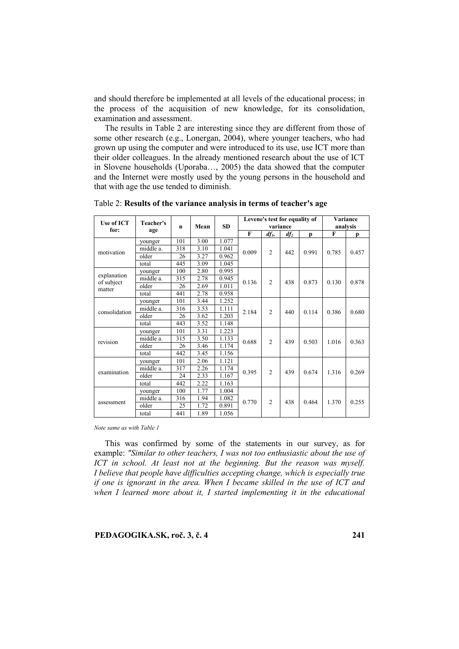and should therefore be implemented at all levels of the educational process; in the process of the acquisition of new knowledge, for its consolidation, examination and assessment.

The results in Table 2 are interesting since they are different from those of some other research (e.g., Lonergan, 2004), where younger teachers, who had grown up using the computer and were introduced to its use, use ICT more than their older colleagues. In the already mentioned research about the use of ICT in Slovene households (Uporaba…, 2005) the data showed that the computer and the Internet were mostly used by the young persons in the household and that with age the use tended to diminish.

| Use of ICT                          | Teacher's | $\mathbf n$ | Mean | <b>SD</b> |              | Levene's test for equality of | Variance |       |       |       |
|-------------------------------------|-----------|-------------|------|-----------|--------------|-------------------------------|----------|-------|-------|-------|
| for:                                | age       |             |      |           |              | variance                      | analysis |       |       |       |
|                                     |           |             |      |           | $\mathbf{F}$ | $dfl$ ,                       | $df_2$   | p     | F     | p     |
| motivation                          | younger   | 101         | 3.00 | 1.077     |              | $\overline{2}$                | 442      | 0.991 | 0.785 | 0.457 |
|                                     | middle a. | 318         | 3.10 | 1.041     | 0.009        |                               |          |       |       |       |
|                                     | older     | 26          | 3.27 | 0.962     |              |                               |          |       |       |       |
|                                     | total     | 445         | 3.09 | 1.045     |              |                               |          |       |       |       |
| explanation<br>of subject<br>matter | younger   | 100         | 2.80 | 0.995     | 0.136        | $\overline{c}$                | 438      | 0.873 | 0.130 | 0.878 |
|                                     | middle a. | 315         | 2.78 | 0.945     |              |                               |          |       |       |       |
|                                     | older     | 26          | 2.69 | 1.011     |              |                               |          |       |       |       |
|                                     | total     | 441         | 2.78 | 0.958     |              |                               |          |       |       |       |
| consolidation                       | younger   | 101         | 3.44 | 1.252     | 2.184        | $\overline{2}$                | 440      | 0.114 | 0.386 | 0.680 |
|                                     | middle a. | 316         | 3.53 | 1.111     |              |                               |          |       |       |       |
|                                     | older     | 26          | 3.62 | 1.203     |              |                               |          |       |       |       |
|                                     | total     | 443         | 3.52 | 1.148     |              |                               |          |       |       |       |
| revision                            | younger   | 101         | 3.31 | 1.223     | 0.688        | $\overline{2}$                | 439      | 0.503 | 1.016 | 0.363 |
|                                     | middle a. | 315         | 3.50 | 1.133     |              |                               |          |       |       |       |
|                                     | older     | 26          | 3.46 | 1.174     |              |                               |          |       |       |       |
|                                     | total     | 442         | 3.45 | 1.156     |              |                               |          |       |       |       |
| examination                         | younger   | 101         | 2.06 | 1.121     | 0.395        | $\overline{2}$                | 439      | 0.674 | 1.316 | 0.269 |
|                                     | middle a. | 317         | 2.26 | 1.174     |              |                               |          |       |       |       |
|                                     | older     | 24          | 2.33 | 1.167     |              |                               |          |       |       |       |
|                                     | total     | 442         | 2.22 | 1.163     |              |                               |          |       |       |       |
| assessment                          | younger   | 100         | 1.77 | 1.004     | 0.770        | $\overline{c}$                | 438      | 0.464 | 1.370 | 0.255 |
|                                     | middle a. | 316         | 1.94 | 1.082     |              |                               |          |       |       |       |
|                                     | older     | 25          | 1.72 | 0.891     |              |                               |          |       |       |       |
|                                     | total     | 441         | 1.89 | 1.056     |              |                               |          |       |       |       |

Table 2: **Results of the variance analysis in terms of teacher's age**

*Note same as with Table 1*

This was confirmed by some of the statements in our survey, as for example: *"Similar to other teachers, I was not too enthusiastic about the use of ICT in school. At least not at the beginning. But the reason was myself. I believe that people have difficulties accepting change, which is especially true if one is ignorant in the area. When I became skilled in the use of ICT and when I learned more about it, I started implementing it in the educational*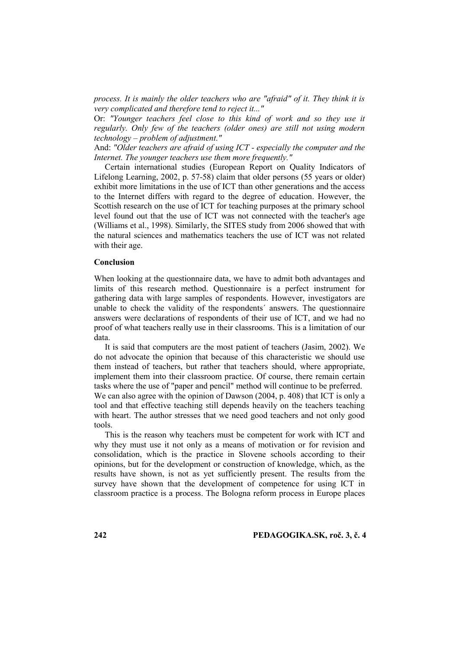*process. It is mainly the older teachers who are "afraid" of it. They think it is very complicated and therefore tend to reject it..."*

Or: *"Younger teachers feel close to this kind of work and so they use it regularly. Only few of the teachers (older ones) are still not using modern technology – problem of adjustment."*

And: *"Older teachers are afraid of using ICT - especially the computer and the Internet. The younger teachers use them more frequently."*

Certain international studies (European Report on Quality Indicators of Lifelong Learning, 2002, p. 57-58) claim that older persons (55 years or older) exhibit more limitations in the use of ICT than other generations and the access to the Internet differs with regard to the degree of education. However, the Scottish research on the use of ICT for teaching purposes at the primary school level found out that the use of ICT was not connected with the teacher's age (Williams et al., 1998). Similarly, the SITES study from 2006 showed that with the natural sciences and mathematics teachers the use of ICT was not related with their age.

## **Conclusion**

When looking at the questionnaire data, we have to admit both advantages and limits of this research method. Questionnaire is a perfect instrument for gathering data with large samples of respondents. However, investigators are unable to check the validity of the respondents´ answers. The questionnaire answers were declarations of respondents of their use of ICT, and we had no proof of what teachers really use in their classrooms. This is a limitation of our data.

It is said that computers are the most patient of teachers (Jasim, 2002). We do not advocate the opinion that because of this characteristic we should use them instead of teachers, but rather that teachers should, where appropriate, implement them into their classroom practice. Of course, there remain certain tasks where the use of "paper and pencil" method will continue to be preferred. We can also agree with the opinion of Dawson (2004, p. 408) that ICT is only a tool and that effective teaching still depends heavily on the teachers teaching with heart. The author stresses that we need good teachers and not only good tools.

This is the reason why teachers must be competent for work with ICT and why they must use it not only as a means of motivation or for revision and consolidation, which is the practice in Slovene schools according to their opinions, but for the development or construction of knowledge, which, as the results have shown, is not as yet sufficiently present. The results from the survey have shown that the development of competence for using ICT in classroom practice is a process. The Bologna reform process in Europe places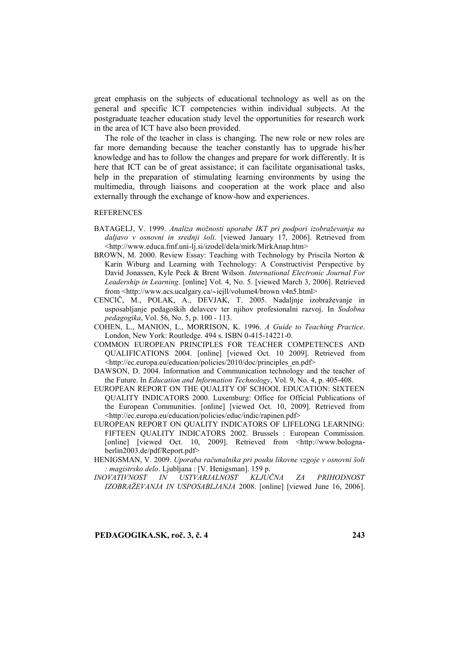great emphasis on the subjects of educational technology as well as on the general and specific ICT competencies within individual subjects. At the postgraduate teacher education study level the opportunities for research work in the area of ICT have also been provided.

The role of the teacher in class is changing. The new role or new roles are far more demanding because the teacher constantly has to upgrade his/her knowledge and has to follow the changes and prepare for work differently. It is here that ICT can be of great assistance; it can facilitate organisational tasks, help in the preparation of stimulating learning environments by using the multimedia, through liaisons and cooperation at the work place and also externally through the exchange of know-how and experiences.

#### REFERENCES

- BATAGELJ, V. 1999. *Analiza možnosti uporabe IKT pri podpori izobraževanja na daljavo v osnovni in srednji šoli*. [viewed January 17, 2006]. Retrieved from [<http://www.educa.fmf.uni-lj.si/izodel/dela/mirk/MirkAnap.htm>](http://www.educa.fmf.uni-lj.si/izodel/dela/mirk/MirkAnap.htm)
- BROWN, M. 2000. Review Essay: Teaching with Technology by Priscila Norton & Karin Wiburg and Learning with Technology: A Constructivist Perspective by David Jonassen, Kyle Peck & Brent Wilson. *International Electronic Journal For Leadership in Learning*. [online] Vol. 4, No. 5. [viewed March 3, 2006]. Retrieved from <http://www.acs.ucalgary.ca/~iejll/volume4/brown v4n5.html>
- CENCIČ, M., POLAK, A., DEVJAK, T. 2005. Nadaljnje izobraževanje in usposabljanje pedagoških delavcev ter njihov profesionalni razvoj. In *Sodobna pedagogika*, Vol. 56, No. 5, p. 100 - 113.
- COHEN, L., MANION, L., MORRISON, K. 1996. *A Guide to Teaching Practice*. London, New York: Routledge. 494 s. ISBN 0-415-14221-0.
- COMMON EUROPEAN PRINCIPLES FOR TEACHER COMPETENCES AND QUALIFICATIONS 2004. [online] [viewed Oct. 10 2009]. Retrieved from <http://ec.europa.eu/education/policies/2010/doc/principles\_en.pdf>
- DAWSON, D. 2004. Information and Communication technology and the teacher of the Future. In *Education and Information Technology*, Vol. 9, No. 4, p. 405-408.
- EUROPEAN REPORT ON THE QUALITY OF SCHOOL EDUCATION: SIXTEEN QUALITY INDICATORS 2000. Luxemburg: Office for Official Publications of the European Communities. [online] [viewed Oct. 10, 2009]. Retrieved from <http://ec.europa.eu/education/policies/educ/indic/rapinen.pdf>
- EUROPEAN REPORT ON QUALITY INDICATORS OF LIFELONG LEARNING: FIFTEEN QUALITY INDICATORS 2002. Brussels : European Commission. [online] [viewed Oct. 10, 2009]. Retrieved from <http://www.bolognaberlin2003.de/pdf/Report.pdf>
- HENIGSMAN, V*.* 2009. *Uporaba računalnika pri pouku likovne vzgoje v osnovni šoli : magistrsko delo*. Ljubljana : [V. Henigsman]. 159 p.
- *INOVATIVNOST IN USTVARJALNOST KLJUČNA ZA PRIHODNOST IZOBRAŽEVANJA IN USPOSABLJANJA* 2008. [online] [viewed June 16, 2006].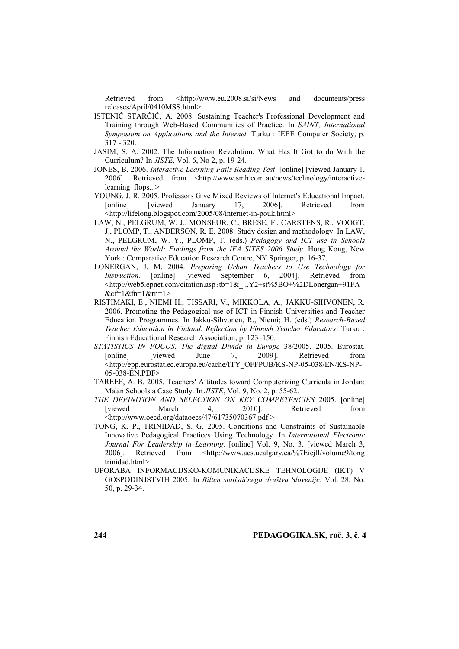Retrieved from <http://www.eu.2008.si/si/News and documents/press releases/April/0410MSS.html>

- ISTENIČ STARČIČ, A. 2008. Sustaining Teacher's Professional Development and Training through Web-Based Communities of Practice. In *SAINT, International Symposium on Applications and the Internet.* Turku : IEEE Computer Society, p. 317 - 320.
- JASIM, S. A. 2002. The Information Revolution: What Has It Got to do With the Curriculum? In *JISTE*, Vol. 6, No 2, p. 19-24.
- JONES, B. 2006. *Interactive Learning Fails Reading Test*. [online] [viewed January 1, 2006]. Retrieved from [<http://www.smh.com.au/news/technology/interactive](http://www.smh.com.au/news/technology/interactive-learning_flops...)learning flops...>
- YOUNG, J. R. 2005. Professors Give Mixed Reviews of Internet's Educational Impact. [online] [viewed January 17, 2006]. Retrieved from [<http://lifelong.blogspot.com/2005/08/internet-in-pouk.html>](http://lifelong.blogspot.com/2005/08/internet-in-pouk.html)
- LAW, N., PELGRUM, W. J., MONSEUR, C., BRESE, F., CARSTENS, R., VOOGT, J., PLOMP, T., ANDERSON, R. E. 2008. Study design and methodology. In LAW, N., PELGRUM, W. Y., PLOMP, T. (eds.) *Pedagogy and ICT use in Schools Around the World: Findings from the IEA SITES 2006 Study*. Hong Kong, New York : Comparative Education Research Centre, NY Springer, p. 16-37.
- LONERGAN, J. M. 2004. *Preparing Urban Teachers to Use Technology for Instruction.* [online] [viewed September 6, 2004]. Retrieved from [<http://web5.epnet.com/citation.asp?tb=1&\\_...Y2+st%5BO+%2DLonergan+91FA](http://web5.epnet.com/citation.asp?tb=1&_...Y2+st%5BO+%2DLonergan+91FA&cf=1&fn=1&rn=1)  $&c \neq 1&m=1&m=1>$
- RISTIMAKI, E., NIEMI H., TISSARI, V., MIKKOLA, A., JAKKU-SIHVONEN, R. 2006. Promoting the Pedagogical use of ICT in Finnish Universities and Teacher Education Programmes. In Jakku-Sihvonen, R., Niemi; H. (eds.) *Research-Based Teacher Education in Finland. Reflection by Finnish Teacher Educators*. Turku : Finnish Educational Research Association, p. 123–150.
- *STATISTICS IN FOCUS. The digital Divide in Europe* 38/2005. 2005. Eurostat. [online] [viewed June 7, 2009]. Retrieved from <http://epp.eurostat.ec.europa.eu/cache/ITY\_OFFPUB/KS-NP-05-038/EN/KS-NP-05-038-EN.PDF>
- TAREEF, A. B. 2005. Teachers' Attitudes toward Computerizing Curricula in Jordan: Ma'an Schools a Case Study. In *JISTE*, Vol. 9, No. 2, p. 55-62.
- *THE DEFINITION AND SELECTION ON KEY COMPETENCIES* 2005. [online] [viewed March 4, 2010]. Retrieved from  $\lt$ http://www.oecd.org/dataoecs/47/61735070367.pdf  $>$
- TONG, K. P., TRINIDAD, S. G. 2005. Conditions and Constraints of Sustainable Innovative Pedagogical Practices Using Technology. In *International Electronic Journal For Leadership in Learning.* [online] Vol. 9, No. 3. [viewed March 3, 2006]. Retrieved from [<http://www.acs.ucalgary.ca/%7Eiejll/volume9/tong](http://www.acs.ucalgary.ca/~iejll/volume9/tong) trinidad.html>
- UPORABA INFORMACIJSKO-KOMUNIKACIJSKE TEHNOLOGIJE (IKT) V GOSPODINJSTVIH 2005. In *Bilten statističnega društva Slovenije*. Vol. 28, No. 50, p. 29-34.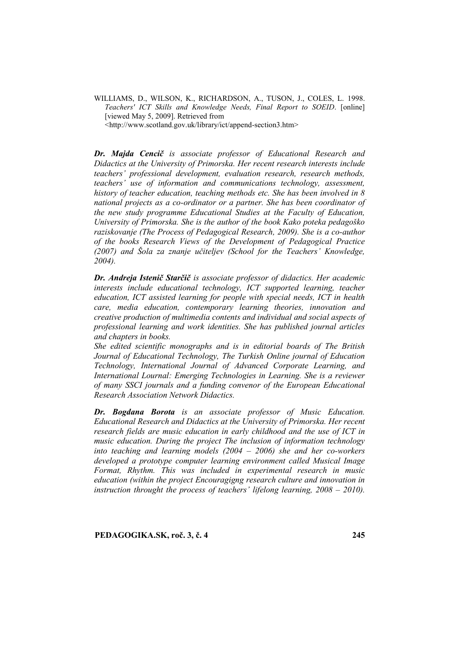WILLIAMS, D., WILSON, K., RICHARDSON, A., TUSON, J., COLES, L. 1998. *Teachers' ICT Skills and Knowledge Needs, Final Report to SOEID*. [online] [viewed May 5, 2009]. Retrieved from

[<http://www.scotland.gov.uk/library/ict/append-section3.htm>](http://www.scotland.gov.uk/library/ict/append-section3.htm)

*Dr. Majda Cencič is associate professor of Educational Research and Didactics at the University of Primorska. Her recent research interests include teachers' professional development, evaluation research, research methods, teachers' use of information and communications technology, assessment, history of teacher education, teaching methods etc. She has been involved in 8 national projects as a co-ordinator or a partner. She has been coordinator of the new study programme Educational Studies at the Faculty of Education, University of Primorska. She is the author of the book Kako poteka pedagoško raziskovanje (The Process of Pedagogical Research, 2009). She is a co-author of the books Research Views of the Development of Pedagogical Practice (2007) and Šola za znanje učiteljev (School for the Teachers' Knowledge, 2004).* 

*Dr. Andreja Istenič Starčič is associate professor of didactics. Her academic interests include educational technology, ICT supported learning, teacher education, ICT assisted learning for people with special needs, ICT in health care, media education, contemporary learning theories, innovation and creative production of multimedia contents and individual and social aspects of professional learning and work identities. She has published journal articles and chapters in books.* 

*She edited scientific monographs and is in editorial boards of The British Journal of Educational Technology, The Turkish Online journal of Education Technology, International Journal of Advanced Corporate Learning, and International Lournal: Emerging Technologies in Learning. She is a reviewer of many SSCI journals and a funding convenor of the European Educational Research Association Network Didactics.* 

*Dr. Bogdana Borota is an associate professor of Music Education. Educational Research and Didactics at the University of Primorska. Her recent research fields are music education in early childhood and the use of ICT in music education. During the project The inclusion of information technology into teaching and learning models (2004 – 2006) she and her co-workers developed a prototype computer learning environment called Musical Image Format, Rhythm. This was included in experimental research in music education (within the project Encouragigng research culture and innovation in instruction throught the process of teachers' lifelong learning, 2008 – 2010).*